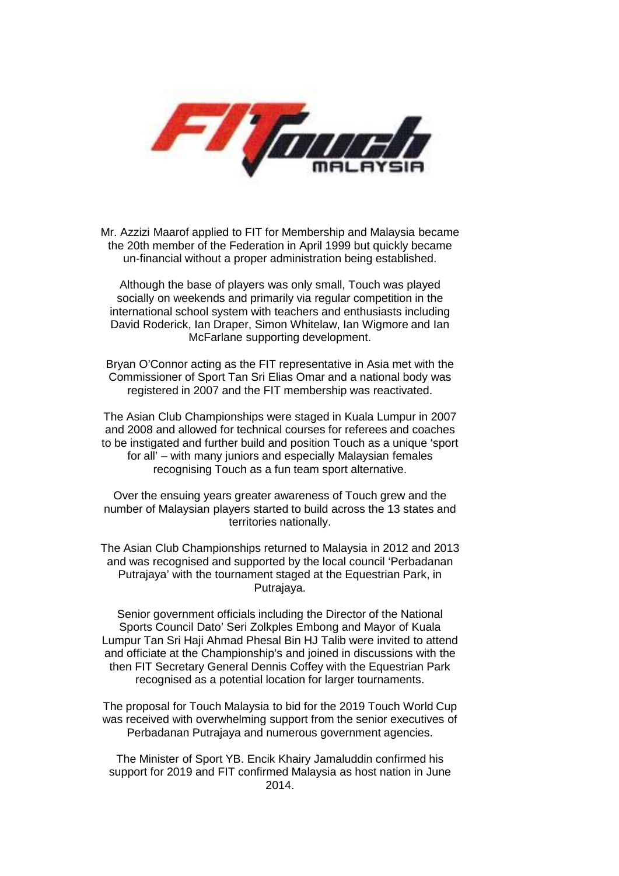

Mr. Azzizi Maarof applied to FIT for Membership and Malaysia became the 20th member of the Federation in April 1999 but quickly became un-financial without a proper administration being established.

Although the base of players was only small, Touch was played socially on weekends and primarily via regular competition in the international school system with teachers and enthusiasts including David Roderick, Ian Draper, Simon Whitelaw, Ian Wigmore and Ian McFarlane supporting development.

Bryan O'Connor acting as the FIT representative in Asia met with the Commissioner of Sport Tan Sri Elias Omar and a national body was registered in 2007 and the FIT membership was reactivated.

The Asian Club Championships were staged in Kuala Lumpur in 2007 and 2008 and allowed for technical courses for referees and coaches to be instigated and further build and position Touch as a unique 'sport for all' – with many juniors and especially Malaysian females recognising Touch as a fun team sport alternative.

Over the ensuing years greater awareness of Touch grew and the number of Malaysian players started to build across the 13 states and territories nationally.

The Asian Club Championships returned to Malaysia in 2012 and 2013 and was recognised and supported by the local council 'Perbadanan Putrajaya' with the tournament staged at the Equestrian Park, in Putrajaya.

Senior government officials including the Director of the National Sports Council Dato' Seri Zolkples Embong and Mayor of Kuala Lumpur Tan Sri Haji Ahmad Phesal Bin HJ Talib were invited to attend and officiate at the Championship's and joined in discussions with the then FIT Secretary General Dennis Coffey with the Equestrian Park recognised as a potential location for larger tournaments.

The proposal for Touch Malaysia to bid for the 2019 Touch World Cup was received with overwhelming support from the senior executives of Perbadanan Putrajaya and numerous government agencies.

The Minister of Sport YB. Encik Khairy Jamaluddin confirmed his support for 2019 and FIT confirmed Malaysia as host nation in June 2014.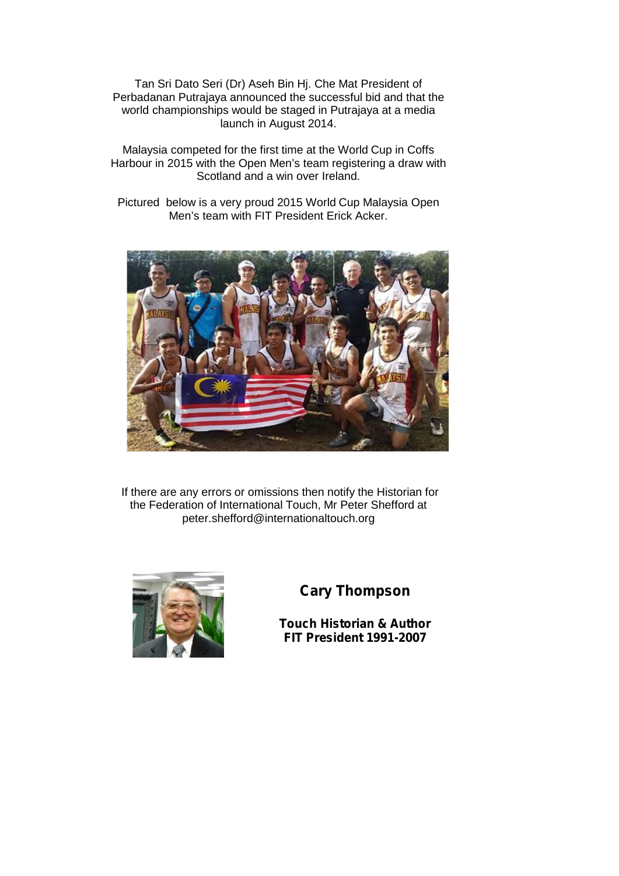Tan Sri Dato Seri (Dr) Aseh Bin Hj. Che Mat President of Perbadanan Putrajaya announced the successful bid and that the world championships would be staged in Putrajaya at a media launch in August 2014.

Malaysia competed for the first time at the World Cup in Coffs Harbour in 2015 with the Open Men's team registering a draw with Scotland and a win over Ireland.

Pictured below is a very proud 2015 World Cup Malaysia Open Men's team with FIT President Erick Acker.



If there are any errors or omissions then notify the Historian for the Federation of International Touch, Mr Peter Shefford at peter.shefford@internationaltouch.org



## **Cary Thompson**

**Touch Historian & Author FIT President 1991-2007**